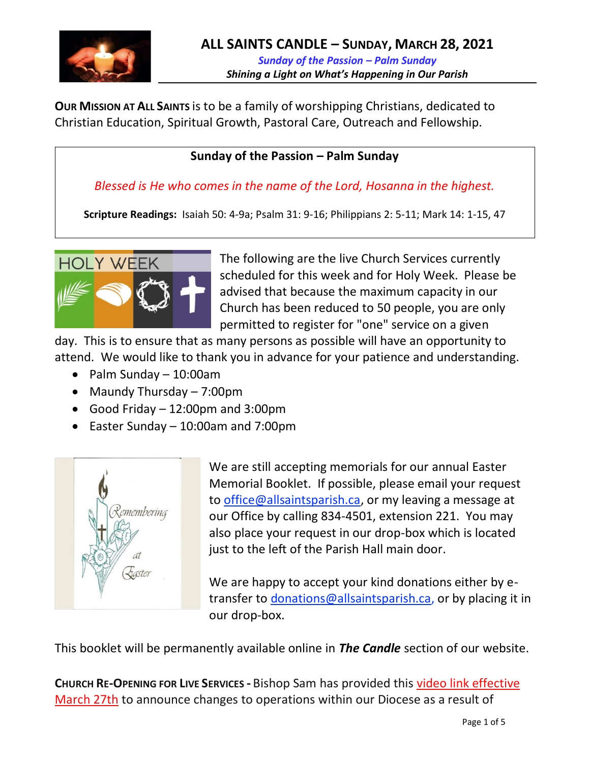

**OUR MISSION AT ALL SAINTS** is to be a family of worshipping Christians, dedicated to Christian Education, Spiritual Growth, Pastoral Care, Outreach and Fellowship.

### **Sunday of the Passion – Palm Sunday**

*Blessed is He who comes in the name of the Lord, Hosanna in the highest.*

**Scripture Readings:** Isaiah 50: 4-9a; Psalm 31: 9-16; Philippians 2: 5-11; Mark 14: 1-15, 47



The following are the live Church Services currently scheduled for this week and for Holy Week. Please be advised that because the maximum capacity in our Church has been reduced to 50 people, you are only permitted to register for "one" service on a given

day. This is to ensure that as many persons as possible will have an opportunity to attend. We would like to thank you in advance for your patience and understanding.

- Palm Sunday 10:00am
- Maundy Thursday 7:00pm
- Good Friday 12:00pm and 3:00pm
- Easter Sunday 10:00am and 7:00pm



We are still accepting memorials for our annual Easter Memorial Booklet. If possible, please email your request to [office@allsaintsparish.ca,](mailto:office@allsaintsparish.ca) or my leaving a message at our Office by calling 834-4501, extension 221. You may also place your request in our drop-box which is located just to the left of the Parish Hall main door.

We are happy to accept your kind donations either by etransfer to [donations@allsaintsparish.ca,](mailto:donations@allsaintsparish.ca) or by placing it in our drop-box.

This booklet will be permanently available online in *The Candle* section of our website.

**CHURCH RE-OPENING FOR LIVE SERVICES -** Bishop Sam has provided this [video link effective](https://youtu.be/1DV0Z3F-cQ0)  [March 27th](https://youtu.be/1DV0Z3F-cQ0) to announce changes to operations within our Diocese as a result of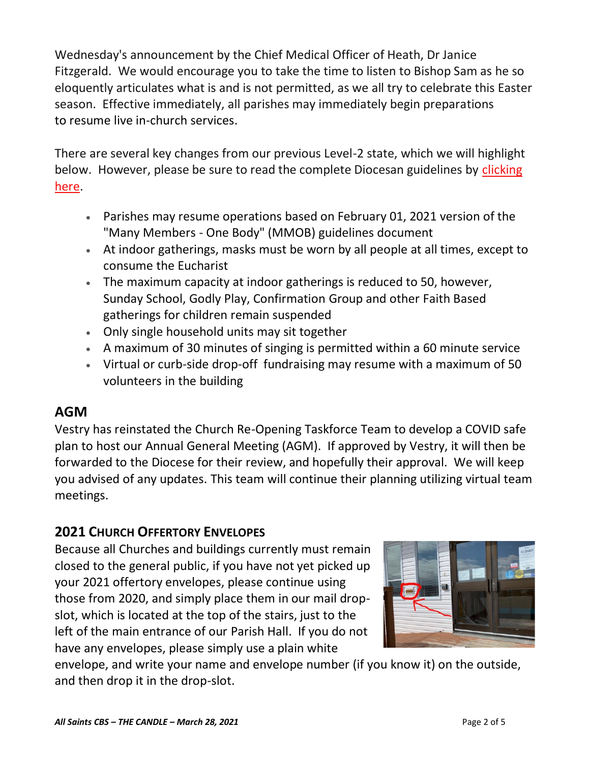Wednesday's announcement by the Chief Medical Officer of Heath, Dr Janice Fitzgerald. We would encourage you to take the time to listen to Bishop Sam as he so eloquently articulates what is and is not permitted, as we all try to celebrate this Easter season. Effective immediately, all parishes may immediately begin preparations to resume live in-church services.

There are several key changes from our previous Level-2 state, which we will highlight below. However, please be sure to read the complete Diocesan guidelines by clicking [here.](http://allsaintsparish.ca/document_library/COVID-19/210324%20COVID-19%20Revised%20Alert%20Level%202%20effective%20March%2027%202021.pdf)

- Parishes may resume operations based on February 01, 2021 version of the "Many Members - One Body" (MMOB) guidelines document
- At indoor gatherings, masks must be worn by all people at all times, except to consume the Eucharist
- The maximum capacity at indoor gatherings is reduced to 50, however, Sunday School, Godly Play, Confirmation Group and other Faith Based gatherings for children remain suspended
- Only single household units may sit together
- A maximum of 30 minutes of singing is permitted within a 60 minute service
- Virtual or curb-side drop-off fundraising may resume with a maximum of 50 volunteers in the building

# **AGM**

Vestry has reinstated the Church Re-Opening Taskforce Team to develop a COVID safe plan to host our Annual General Meeting (AGM). If approved by Vestry, it will then be forwarded to the Diocese for their review, and hopefully their approval. We will keep you advised of any updates. This team will continue their planning utilizing virtual team meetings.

# **2021 CHURCH OFFERTORY ENVELOPES**

Because all Churches and buildings currently must remain closed to the general public, if you have not yet picked up your 2021 offertory envelopes, please continue using those from 2020, and simply place them in our mail dropslot, which is located at the top of the stairs, just to the left of the main entrance of our Parish Hall. If you do not have any envelopes, please simply use a plain white



envelope, and write your name and envelope number (if you know it) on the outside, and then drop it in the drop-slot.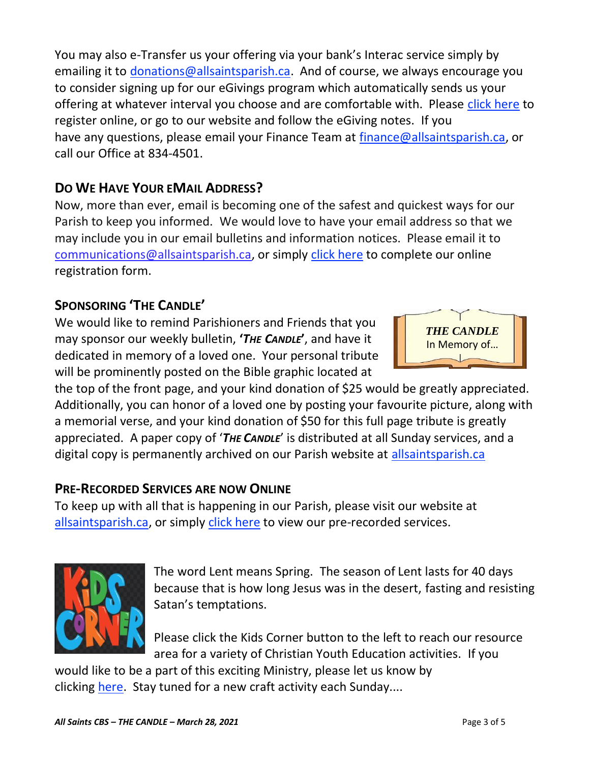You may also e-Transfer us your offering via your bank's Interac service simply by emailing it to [donations@allsaintsparish.ca.](mailto:donations@allsaintsparish.ca) And of course, we always encourage you to consider signing up for our eGivings program which automatically sends us your offering at whatever interval you choose and are comfortable with. Please [click here](http://allsaintsparish.ca/egiving-online-information-form) to register online, or go to our website and follow the eGiving notes. If you have [any](https://wfsites-to.websitecreatorprotool.com/870a5dd5.com/Admin/%7BSK_NODEID__22939341__SK%7D) questions, please email your Finance Team at [finance@allsaintsparish.ca,](mailto:finance@allsaintsparish.ca) or call our Office at 834-4501.

# **DO WE HAVE YOUR EMAIL ADDRESS?**

Now, more than ever, email is becoming one of the safest and quickest ways for our Parish to keep you informed. We would love to have your email address so that we may include you in our email bulletins and information notices. Please email it to [communications@allsaintsparish.ca,](mailto:communications@allsaintsparish.ca?subject=eMail%20Address%20Update) or simply [click here](http://allsaintsparish.ca/email_updates) to complete our online registration form.

# **SPONSORING 'THE CANDLE'**

We would like to remind Parishioners and Friends that you may sponsor our weekly bulletin, **'***THE CANDLE***'**, and have it dedicated in memory of a loved one. Your personal tribute will be prominently posted on the Bible graphic located at



the top of the front page, and your kind donation of \$25 would be greatly appreciated. Additionally, you can honor of a loved one by posting your favourite picture, along with a memorial verse, and your kind donation of \$50 for this full page tribute is greatly appreciated. A paper copy of '*THE CANDLE*' is distributed at all Sunday services, and a digital copy is permanently archived on our Parish website at [allsaintsparish.ca](http://allsaintsparish.ca/thecandle.html)

# **PRE-RECORDED SERVICES ARE NOW ONLINE**

To keep up with all that is happening in our Parish, please visit our website at [allsaintsparish.ca,](/Users/ralphfagan/Documents/All%20Saints%20Parish/Candle/ASP%202021%20Candle/allsaintsparish.ca) or simply [click here](http://allsaintsparish.ca/recorded-church-services) to view our pre-recorded services.



The word Lent means Spring. The season of Lent lasts for 40 days because that is how long Jesus was in the desert, fasting and resisting Satan's temptations.

Please [click](http://allsaintsparish.ca/kids-corner) the Kids Corner button to the left to reach our resource area for a variety of Christian Youth Education activities. If you

would like to be a part of this exciting Ministry, please let us know by clicking [here.](http://allsaintsparish.ca/index.html#comments) Stay tuned for a new craft activity each Sunday....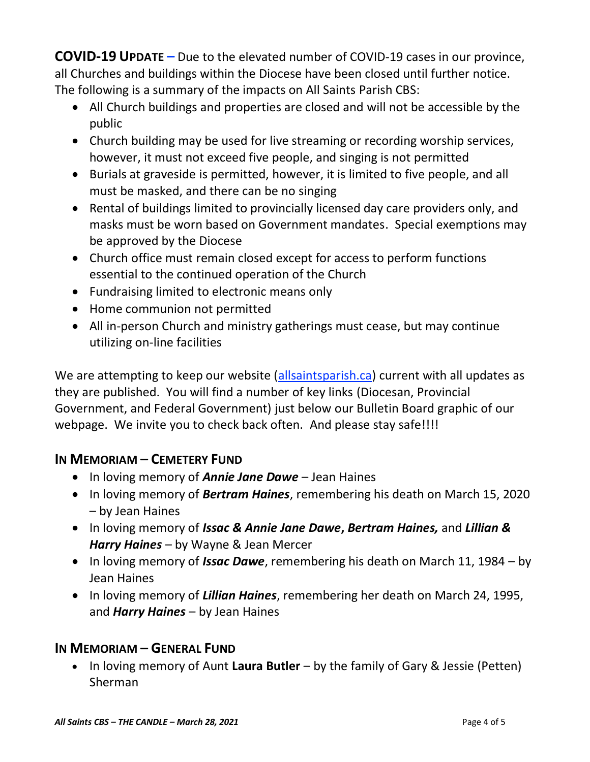**COVID-19 UPDATE –** Due to the elevated number of COVID-19 cases in our province, all Churches and buildings within the Diocese have been closed until further notice. The following is a summary of the impacts on All Saints Parish CBS:

- All Church buildings and properties are closed and will not be accessible by the public
- Church building may be used for live streaming or recording worship services, however, it must not exceed five people, and singing is not permitted
- Burials at graveside is permitted, however, it is limited to five people, and all must be masked, and there can be no singing
- Rental of buildings limited to provincially licensed day care providers only, and masks must be worn based on Government mandates. Special exemptions may be approved by the Diocese
- Church office must remain closed except for access to perform functions essential to the continued operation of the Church
- Fundraising limited to electronic means only
- Home communion not permitted
- All in-person Church and ministry gatherings must cease, but may continue utilizing on-line facilities

We are attempting to keep our website [\(allsaintsparish.ca\)](/Users/ralphfagan/Documents/All%20Saints%20Parish/Candle/ASP%202021%20Candle/allsaintsparish.ca) current with all updates as they are published. You will find a number of key links (Diocesan, Provincial Government, and Federal Government) just below our Bulletin Board graphic of our webpage. We invite you to check back often. And please stay safe!!!!

## **IN MEMORIAM – CEMETERY FUND**

- In loving memory of *Annie Jane Dawe* Jean Haines
- In loving memory of *Bertram Haines*, remembering his death on March 15, 2020 – by Jean Haines
- In loving memory of *Issac & Annie Jane Dawe***,** *Bertram Haines,* and *Lillian & Harry Haines* – by Wayne & Jean Mercer
- In loving memory of *Issac Dawe*, remembering his death on March 11, 1984 by Jean Haines
- In loving memory of *Lillian Haines*, remembering her death on March 24, 1995, and *Harry Haines* – by Jean Haines

### **IN MEMORIAM – GENERAL FUND**

• In loving memory of Aunt **Laura Butler** – by the family of Gary & Jessie (Petten) Sherman